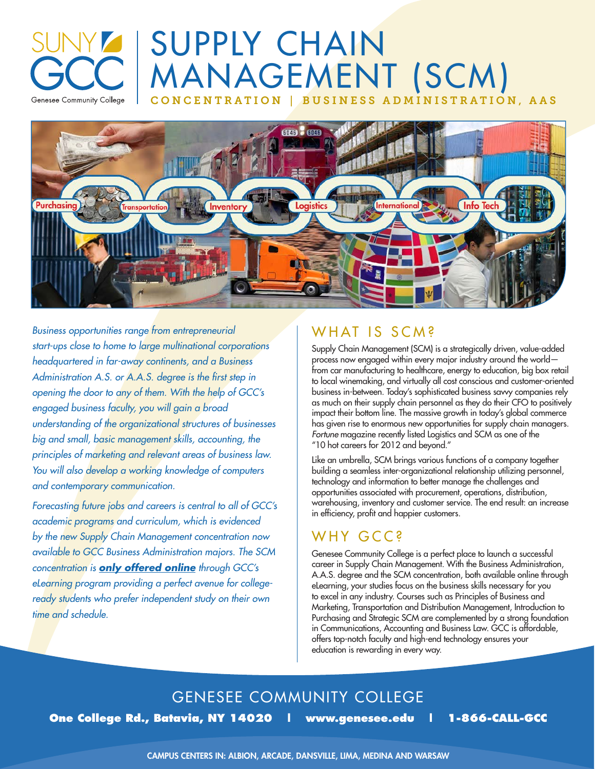# SUPPLY CHAIN MANAGEMENT (SCM) CONCENTRATION | BUSINESS ADMINISTRATION, AAS



*Business opportunities range from entrepreneurial start-ups close to home to large multinational corporations headquartered in far-away continents, and a Business Administration A.S. or A.A.S. degree is the first step in opening the door to any of them. With the help of GCC's engaged business faculty, you will gain a broad understanding of the organizational structures of businesses big and small, basic management skills, accounting, the principles of marketing and relevant areas of business law. You will also develop a working knowledge of computers and contemporary communication.*

Genesee Community College

*Forecasting future jobs and careers is central to all of GCC's academic programs and curriculum, which is evidenced by the new Supply Chain Management concentration now available to GCC Business Administration majors. The SCM concentration is only offered online through GCC's eLearning program providing a perfect avenue for collegeready students who prefer independent study on their own time and schedule.* 

#### WHAT IS SCM?

Supply Chain Management (SCM) is a strategically driven, value-added process now engaged within every major industry around the world from car manufacturing to healthcare, energy to education, big box retail to local winemaking, and virtually all cost conscious and customer-oriented business in-between. Today's sophisticated business savvy companies rely as much on their supply chain personnel as they do their CFO to positively impact their bottom line. The massive growth in today's global commerce has given rise to enormous new opportunities for supply chain managers. *Fortune* magazine recently listed Logistics and SCM as one of the "10 hot careers for 2012 and beyond."

Like an umbrella, SCM brings various functions of a company together building a seamless inter-organizational relationship utilizing personnel, technology and information to better manage the challenges and opportunities associated with procurement, operations, distribution, warehousing, inventory and customer service. The end result: an increase in efficiency, profit and happier customers.

### WHY GCC<sub>S</sub>

Genesee Community College is a perfect place to launch a successful career in Supply Chain Management. With the Business Administration, A.A.S. degree and the SCM concentration, both available online through eLearning, your studies focus on the business skills necessary for you to excel in any industry. Courses such as Principles of Business and Marketing, Transportation and Distribution Management, Introduction to Purchasing and Strategic SCM are complemented by a strong foundation in Communications, Accounting and Business Law. GCC is affordable, offers top-notch faculty and high-end technology ensures your education is rewarding in every way.

### GENESEE COMMUNITY COLLEGE

**One College Rd., Batavia, NY 14020 | www.genesee.edu | 1-866-CALL-GCC**

CAMPUS CENTERS IN: ALBION, ARCADE, DANSVILLE, LIMA, MEDINA AND WARSAW